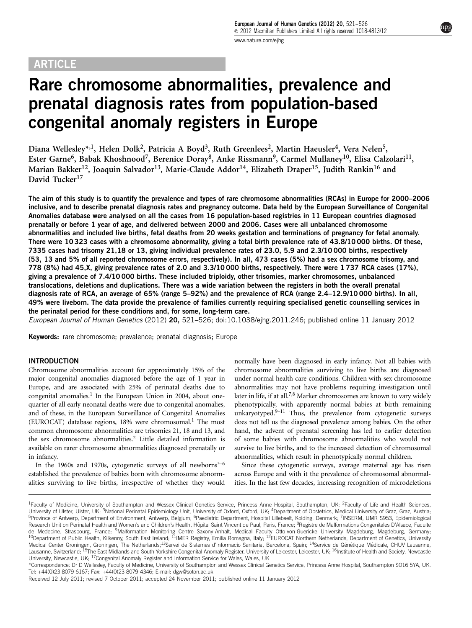# ARTICLE

Rare chromosome abnormalities, prevalence and prenatal diagnosis rates from population-based congenital anomaly registers in Europe

Diana Wellesley\*<sup>,1</sup>, Helen Dolk<sup>2</sup>, Patricia A Boyd<sup>3</sup>, Ruth Greenlees<sup>2</sup>, Martin Haeusler<sup>4</sup>, Vera Nelen<sup>5</sup>, Ester Garne<sup>6</sup>, Babak Khoshnood<sup>7</sup>, Berenice Doray<sup>8</sup>, Anke Rissmann<sup>9</sup>, Carmel Mullaney<sup>10</sup>, Elisa Calzolari<sup>11</sup>, Marian Bakker<sup>12</sup>, Joaquin Salvador<sup>13</sup>, Marie-Claude Addor<sup>14</sup>, Elizabeth Draper<sup>15</sup>, Judith Rankin<sup>16</sup> and David Tucker<sup>17</sup>

The aim of this study is to quantify the prevalence and types of rare chromosome abnormalities (RCAs) in Europe for 2000–2006 inclusive, and to describe prenatal diagnosis rates and pregnancy outcome. Data held by the European Surveillance of Congenital Anomalies database were analysed on all the cases from 16 population-based registries in 11 European countries diagnosed prenatally or before 1 year of age, and delivered between 2000 and 2006. Cases were all unbalanced chromosome abnormalities and included live births, fetal deaths from 20 weeks gestation and terminations of pregnancy for fetal anomaly. There were 10 323 cases with a chromosome abnormality, giving a total birth prevalence rate of 43.8/10 000 births. Of these, 7335 cases had trisomy 21,18 or 13, giving individual prevalence rates of 23.0, 5.9 and 2.3/10 000 births, respectively (53, 13 and 5% of all reported chromosome errors, respectively). In all, 473 cases (5%) had a sex chromosome trisomy, and 778 (8%) had 45,X, giving prevalence rates of 2.0 and 3.3/10 000 births, respectively. There were 1 737 RCA cases (17%), giving a prevalence of 7.4/10 000 births. These included triploidy, other trisomies, marker chromosomes, unbalanced translocations, deletions and duplications. There was a wide variation between the registers in both the overall prenatal diagnosis rate of RCA, an average of 65% (range 5–92%) and the prevalence of RCA (range 2.4–12.9/10 000 births). In all, 49% were liveborn. The data provide the prevalence of families currently requiring specialised genetic counselling services in the perinatal period for these conditions and, for some, long-term care.

European Journal of Human Genetics (2012) 20, 521–526; doi[:10.1038/ejhg.2011.246](http://dx.doi.org/10.1038/ejhg.2011.246); published online 11 January 2012

Keywords: rare chromosome; prevalence; prenatal diagnosis; Europe

## **INTRODUCTION**

Chromosome abnormalities account for approximately 15% of the major congenital anomalies diagnosed before the age of 1 year in Europe, and are associated with 25% of perinatal deaths due to congenital anomalies.<sup>1</sup> In the European Union in 2004, about onequarter of all early neonatal deaths were due to congenital anomalies, and of these, in the European Surveillance of Congenital Anomalies (EUROCAT) database regions, [1](#page-5-0)8% were chromosomal.<sup>1</sup> The most common chromosome abnormalities are trisomies 21, 18 and 13, and the sex chromosome abnormalities[.2](#page-5-0) Little detailed information is available on rarer chromosome abnormalities diagnosed prenatally or in infancy.

In the 1960s and 1970s, cytogenetic surveys of all newborns<sup>3-6</sup> established the prevalence of babies born with chromosome abnormalities surviving to live births, irrespective of whether they would normally have been diagnosed in early infancy. Not all babies with chromosome abnormalities surviving to live births are diagnosed under normal health care conditions. Children with sex chromosome abnormalities may not have problems requiring investigation until later in life, if at all.<sup>7,8</sup> Marker chromosomes are known to vary widely phenotypically, with apparently normal babies at birth remaining unkaryotyped.<sup>9-11</sup> Thus, the prevalence from cytogenetic surveys does not tell us the diagnosed prevalence among babies. On the other hand, the advent of prenatal screening has led to earlier detection of some babies with chromosome abnormalities who would not survive to live births, and to the increased detection of chromosomal abnormalities, which result in phenotypically normal children.

Since these cytogenetic surveys, average maternal age has risen across Europe and with it the prevalence of chromosomal abnormalities. In the last few decades, increasing recognition of microdeletions

<sup>&</sup>lt;sup>1</sup>Faculty of Medicine, University of Southampton and Wessex Clinical Genetics Service, Princess Anne Hospital, Southampton, UK; <sup>2</sup>Faculty of Life and Health Sciences, University of Ulster, Ulster, UK; <sup>3</sup>National Perinatal Epidemiology Unit, University of Oxford, Oxford, UK; <sup>4</sup>Department of Obstetrics, Medical University of Graz, Graz, Austria; <sup>5</sup>Province of Antwerp, Department of Environment, Antwerp, Belgium; <sup>6</sup>Paediatric Department, Hospital Lillebaelt, Kolding, Denmark; <sup>7</sup>INSERM, UMR S953, Epidemiological Research Unit on Perinatal Health and Women's and Children's Health, Hôpital Saint Vincent de Paul, Paris, France; <sup>8</sup>Registre de Malformations Congenitales D'Alsace, Faculte de Medecine, Strasbourg, France; <sup>9</sup>Malformation Monitoring Centre Saxony-Anhalt, Medical Faculty Otto-von-Guericke University Magdeburg, Magdeburg, Germany; <sup>10</sup>Department of Public Health, Kilkenny, South East Ireland; <sup>11</sup>IMER Registry, Emilia Romagna, Italy; <sup>12</sup>EUROCAT Northern Netherlands, Department of Genetics, University Medical Center Groningen, Groningen, The Netherlands;<sup>13</sup>Servei de Sistemes d'Informacio Sanitaria, Barcelona, Spain; <sup>14</sup>Service de Génétique Médicale, CHUV Lausanne, Lausanne, Switzerland; <sup>15</sup>The East Midlands and South Yorkshire Congenital Anomaly Register, University of Leicester, Leicester, UK; <sup>16</sup>Institute of Health and Society, Newcastle University, Newcastle, UK; 17Congenital Anomaly Register and Information Service for Wales, Wales, UK

<sup>\*</sup>Correspondence: Dr D Wellesley, Faculty of Medicine, University of Southampton and Wessex Clinical Genetics Service, Princess Anne Hospital, Southampton SO16 5YA, UK. Tel: +44(0)23 8079 6167; Fax: +44(0)23 8079 4346; E-mail: [dgw@soton.ac.uk](mailto:dgw@soton.ac.uk)

Received 12 July 2011; revised 7 October 2011; accepted 24 November 2011; published online 11 January 2012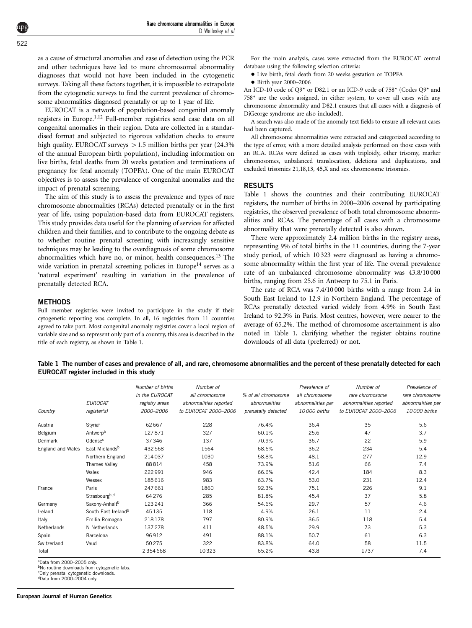<span id="page-1-0"></span>as a cause of structural anomalies and ease of detection using the PCR and other techniques have led to more chromosomal abnormality diagnoses that would not have been included in the cytogenetic surveys. Taking all these factors together, it is impossible to extrapolate from the cytogenetic surveys to find the current prevalence of chromosome abnormalities diagnosed prenatally or up to 1 year of life.

EUROCAT is a network of population-based congenital anomaly registers in Europe.<sup>[1,12](#page-5-0)</sup> Full-member registries send case data on all congenital anomalies in their region. Data are collected in a standardised format and subjected to rigorous validation checks to ensure high quality. EUROCAT surveys  $> 1.5$  million births per year (24.3%) of the annual European birth population), including information on live births, fetal deaths from 20 weeks gestation and terminations of pregnancy for fetal anomaly (TOPFA). One of the main EUROCAT objectives is to assess the prevalence of congenital anomalies and the impact of prenatal screening.

The aim of this study is to assess the prevalence and types of rare chromosome abnormalities (RCAs) detected prenatally or in the first year of life, using population-based data from EUROCAT registers. This study provides data useful for the planning of services for affected children and their families, and to contribute to the ongoing debate as to whether routine prenatal screening with increasingly sensitive techniques may be leading to the overdiagnosis of some chromosome abnormalities which have no, or minor, health consequences[.13](#page-5-0) The wide variation in prenatal screening policies in Europe<sup>[14](#page-5-0)</sup> serves as a 'natural experiment' resulting in variation in the prevalence of prenatally detected RCA.

# **METHODS**

Full member registries were invited to participate in the study if their cytogenetic reporting was complete. In all, 16 registries from 11 countries agreed to take part. Most congenital anomaly registries cover a local region of variable size and so represent only part of a country, this area is described in the title of each registry, as shown in Table 1.

For the main analysis, cases were extracted from the EUROCAT central database using the following selection criteria:

 $\bullet$  Live birth, fetal death from 20 weeks gestation or TOPFA

- Birth year 2000–2006

An ICD-10 code of Q9\* or D82.1 or an ICD-9 code of 758\* (Codes Q9\* and 758\* are the codes assigned, in either system, to cover all cases with any chromosome abnormality and D82.1 ensures that all cases with a diagnosis of DiGeorge syndrome are also included).

A search was also made of the anomaly text fields to ensure all relevant cases had been captured.

All chromosome abnormalities were extracted and categorized according to the type of error, with a more detailed analysis performed on those cases with an RCA. RCAs were defined as cases with triploidy, other trisomy, marker chromosomes, unbalanced translocation, deletions and duplications, and excluded trisomies 21,18,13, 45,X and sex chromosome trisomies.

### RESULTS

Table 1 shows the countries and their contributing EUROCAT registers, the number of births in 2000–2006 covered by participating registries, the observed prevalence of both total chromosome abnormalities and RCAs. The percentage of all cases with a chromosome abnormality that were prenatally detected is also shown.

There were approximately 2.4 million births in the registry areas, representing 9% of total births in the 11 countries, during the 7-year study period, of which 10 323 were diagnosed as having a chromosome abnormality within the first year of life. The overall prevalence rate of an unbalanced chromosome abnormality was 43.8/10 000 births, ranging from 25.6 in Antwerp to 75.1 in Paris.

The rate of RCA was 7.4/10 000 births with a range from 2.4 in South East Ireland to 12.9 in Northern England. The percentage of RCAs prenatally detected varied widely from 4.9% in South East Ireland to 92.3% in Paris. Most centres, however, were nearer to the average of 65.2%. The method of chromosome ascertainment is also noted in Table 1, clarifying whether the register obtains routine downloads of all data (preferred) or not.

Table 1 The number of cases and prevalence of all, and rare, chromosome abnormalities and the percent of these prenatally detected for each EUROCAT register included in this study

| Country           | <b>EUROCAT</b><br>register(s)   | Number of births<br>in the EUROCAT<br>registry areas<br>2000-2006 | Number of<br>all chromosome<br>abnormalities reported<br>to EUROCAT 2000-2006 | % of all chromosome<br>abnormalities<br>prenatally detected | Prevalence of<br>all chromosome<br>abnormalities per<br>10000 births | Number of<br>rare chromosome<br>abnormalities reported<br>to EUROCAT 2000-2006 | Prevalence of<br>rare chromosome<br>abnormalities per<br>10000 births |
|-------------------|---------------------------------|-------------------------------------------------------------------|-------------------------------------------------------------------------------|-------------------------------------------------------------|----------------------------------------------------------------------|--------------------------------------------------------------------------------|-----------------------------------------------------------------------|
| Austria           | Styria <sup>a</sup>             | 62667                                                             | 228                                                                           | 76.4%                                                       | 36.4                                                                 | 35                                                                             | 5.6                                                                   |
| Belgium           | Antwerp <sup>b</sup>            | 127871                                                            | 327                                                                           | 60.1%                                                       | 25.6                                                                 | 47                                                                             | 3.7                                                                   |
| Denmark           | Odense <sup>c</sup>             | 37346                                                             | 137                                                                           | 70.9%                                                       | 36.7                                                                 | 22                                                                             | 5.9                                                                   |
| England and Wales | East Midlands <sup>b</sup>      | 432568                                                            | 1564                                                                          | 68.6%                                                       | 36.2                                                                 | 234                                                                            | 5.4                                                                   |
|                   | Northern England                | 214037                                                            | 1030                                                                          | 58.8%                                                       | 48.1                                                                 | 277                                                                            | 12.9                                                                  |
|                   | Thames Valley                   | 88814                                                             | 458                                                                           | 73.9%                                                       | 51.6                                                                 | 66                                                                             | 7.4                                                                   |
|                   | Wales                           | 222991                                                            | 946                                                                           | 66.6%                                                       | 42.4                                                                 | 184                                                                            | 8.3                                                                   |
|                   | Wessex                          | 185616                                                            | 983                                                                           | 63.7%                                                       | 53.0                                                                 | 231                                                                            | 12.4                                                                  |
| France            | Paris                           | 247661                                                            | 1860                                                                          | 92.3%                                                       | 75.1                                                                 | 226                                                                            | 9.1                                                                   |
|                   | Strasbourg <sup>b,d</sup>       | 64276                                                             | 285                                                                           | 81.8%                                                       | 45.4                                                                 | 37                                                                             | 5.8                                                                   |
| Germany           | Saxony-Anhalt <sup>b</sup>      | 123241                                                            | 366                                                                           | 54.6%                                                       | 29.7                                                                 | 57                                                                             | 4.6                                                                   |
| Ireland           | South East Ireland <sup>b</sup> | 45135                                                             | 118                                                                           | 4.9%                                                        | 26.1                                                                 | 11                                                                             | 2.4                                                                   |
| Italy             | Emilia Romagna                  | 218178                                                            | 797                                                                           | 80.9%                                                       | 36.5                                                                 | 118                                                                            | 5.4                                                                   |
| Netherlands       | N Netherlands                   | 137278                                                            | 411                                                                           | 48.5%                                                       | 29.9                                                                 | 73                                                                             | 5.3                                                                   |
| Spain             | Barcelona                       | 96912                                                             | 491                                                                           | 88.1%                                                       | 50.7                                                                 | 61                                                                             | 6.3                                                                   |
| Switzerland       | Vaud                            | 50275                                                             | 322                                                                           | 83.8%                                                       | 64.0                                                                 | 58                                                                             | 11.5                                                                  |
| Total             |                                 | 2354668                                                           | 10323                                                                         | 65.2%                                                       | 43.8                                                                 | 1737                                                                           | 7.4                                                                   |

aData from 2000–2005 only.

bNo routine downloads from cytogenetic labs

cOnly prenatal cytogenetic downloads.

dData from 2000–2004 only.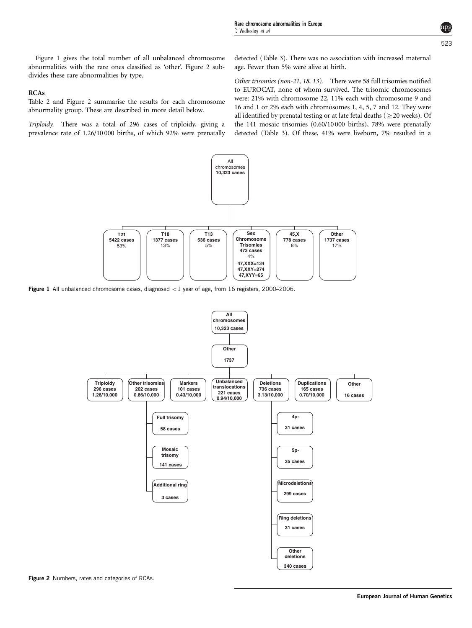Figure 1 gives the total number of all unbalanced chromosome abnormalities with the rare ones classified as 'other'. Figure 2 subdivides these rare abnormalities by type.

# RCAs

[Table 2](#page-3-0) and Figure 2 summarise the results for each chromosome abnormality group. These are described in more detail below.

Triploidy. There was a total of 296 cases of triploidy, giving a prevalence rate of 1.26/10 000 births, of which 92% were prenatally detected [\(Table 3](#page-3-0)). There was no association with increased maternal age. Fewer than 5% were alive at birth.

Other trisomies (non-21, 18, 13). There were 58 full trisomies notified to EUROCAT, none of whom survived. The trisomic chromosomes were: 21% with chromosome 22, 11% each with chromosome 9 and 16 and 1 or 2% each with chromosomes 1, 4, 5, 7 and 12. They were all identified by prenatal testing or at late fetal deaths ( $\geq$ 20 weeks). Of the 141 mosaic trisomies (0.60/10 000 births), 78% were prenatally detected ([Table 3\)](#page-3-0). Of these, 41% were liveborn, 7% resulted in a



**Figure 1** All unbalanced chromosome cases, diagnosed  $\langle 1 \rangle$  year of age, from 16 registers, 2000–2006.



**Figure 2** Numbers, rates and categories of RCAs.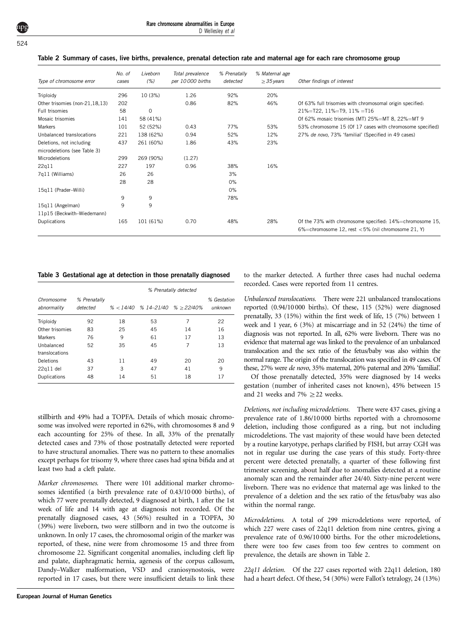| Rare chromosome abnormalities in Europe |                   |  |  |
|-----------------------------------------|-------------------|--|--|
|                                         | D Wellesley et al |  |  |

| Type of chromosome error       | No. of<br>cases | Liveborn<br>(%) | Total prevalence<br>per 10000 births | % Prenatally<br>detected | % Maternal age<br>$\geq$ 35 years | Other findings of interest                                                                                    |
|--------------------------------|-----------------|-----------------|--------------------------------------|--------------------------|-----------------------------------|---------------------------------------------------------------------------------------------------------------|
| Triploidy                      | 296             | 10 (3%)         | 1.26                                 | 92%                      | 20%                               |                                                                                                               |
| Other trisomies (non-21,18,13) | 202             |                 | 0.86                                 | 82%                      | 46%                               | Of 63% full trisomies with chromosomal origin specified:                                                      |
| Full trisomies                 | 58              | $\mathbf 0$     |                                      |                          |                                   | $21\% = T22$ , $11\% = T9$ , $11\% = T16$                                                                     |
| Mosaic trisomies               | 141             | 58 (41%)        |                                      |                          |                                   | Of 62% mosaic trisomies (MT) 25%=MT 8, 22%=MT 9                                                               |
| Markers                        | 101             | 52 (52%)        | 0.43                                 | 77%                      | 53%                               | 53% chromosome 15 (Of 17 cases with chromosome specified)                                                     |
| Unbalanced translocations      | 221             | 138 (62%)       | 0.94                                 | 52%                      | 12%                               | 27% de novo, 73% 'familial' (Specified in 49 cases)                                                           |
| Deletions, not including       | 437             | 261 (60%)       | 1.86                                 | 43%                      | 23%                               |                                                                                                               |
| microdeletions (see Table 3)   |                 |                 |                                      |                          |                                   |                                                                                                               |
| Microdeletions                 | 299             | 269 (90%)       | (1.27)                               |                          |                                   |                                                                                                               |
| 22q11                          | 227             | 197             | 0.96                                 | 38%                      | 16%                               |                                                                                                               |
| 7q11 (Williams)                | 26              | 26              |                                      | 3%                       |                                   |                                                                                                               |
|                                | 28              | 28              |                                      | 0%                       |                                   |                                                                                                               |
| 15q11 (Prader-Willi)           |                 |                 |                                      | 0%                       |                                   |                                                                                                               |
|                                | 9               | 9               |                                      | 78%                      |                                   |                                                                                                               |
| 15q11 (Angelman)               | 9               | 9               |                                      |                          |                                   |                                                                                                               |
| 11p15 (Beckwith-Wiedemann)     |                 |                 |                                      |                          |                                   |                                                                                                               |
| Duplications                   | 165             | 101 (61%)       | 0.70                                 | 48%                      | 28%                               | Of the 73% with chromosome specified: 14%=chromosome 15,<br>6%=chromosome 12, rest <5% (nil chromosome 21, Y) |

#### <span id="page-3-0"></span>Table 2 Summary of cases, live births, prevalence, prenatal detection rate and maternal age for each rare chromosome group

Table 3 Gestational age at detection in those prenatally diagnosed

|                           |                          | % Prenatally detected |                                          |    |                        |  |
|---------------------------|--------------------------|-----------------------|------------------------------------------|----|------------------------|--|
| Chromosome<br>abnormality | % Prenatally<br>detected |                       | $\%$ < 14/40 $\%$ 14-21/40 $\%$ > 22/40% |    | % Gestation<br>unknown |  |
| Triploidy                 | 92                       | 18                    | 53                                       | 7  | 22                     |  |
| Other trisomies           | 83                       | 25                    | 45                                       | 14 | 16                     |  |
| Markers                   | 76                       | 9                     | 61                                       | 17 | 13                     |  |
| Unbalanced                | 52                       | 35                    | 45                                       | 7  | 13                     |  |
| translocations            |                          |                       |                                          |    |                        |  |
| Deletions                 | 43                       | 11                    | 49                                       | 20 | 20                     |  |
| $22q11$ del               | 37                       | 3                     | 47                                       | 41 | 9                      |  |
| Duplications              | 48                       | 14                    | 51                                       | 18 | 17                     |  |

stillbirth and 49% had a TOPFA. Details of which mosaic chromosome was involved were reported in 62%, with chromosomes 8 and 9 each accounting for 25% of these. In all, 33% of the prenatally detected cases and 73% of those postnatally detected were reported to have structural anomalies. There was no pattern to these anomalies except perhaps for trisomy 9, where three cases had spina bifida and at least two had a cleft palate.

Marker chromosomes. There were 101 additional marker chromosomes identified (a birth prevalence rate of 0.43/10 000 births), of which 77 were prenatally detected, 9 diagnosed at birth, 1 after the 1st week of life and 14 with age at diagnosis not recorded. Of the prenatally diagnosed cases, 43 (56%) resulted in a TOPFA, 30 (39%) were liveborn, two were stillborn and in two the outcome is unknown. In only 17 cases, the chromosomal origin of the marker was reported, of these, nine were from chromosome 15 and three from chromosome 22. Significant congenital anomalies, including cleft lip and palate, diaphragmatic hernia, agenesis of the corpus callosum, Dandy–Walker malformation, VSD and craniosynostosis, were reported in 17 cases, but there were insufficient details to link these

to the marker detected. A further three cases had nuchal oedema recorded. Cases were reported from 11 centres.

Unbalanced translocations. There were 221 unbalanced translocations reported (0.94/10 000 births). Of these, 115 (52%) were diagnosed prenatally, 33 (15%) within the first week of life, 15 (7%) between 1 week and 1 year, 6 (3%) at miscarriage and in 52 (24%) the time of diagnosis was not reported. In all, 62% were liveborn. There was no evidence that maternal age was linked to the prevalence of an unbalanced translocation and the sex ratio of the fetus/baby was also within the normal range. The origin of the translocation was specified in 49 cases. Of these, 27% were de novo, 35% maternal, 20% paternal and 20% 'familial'.

Of those prenatally detected, 35% were diagnosed by 14 weeks gestation (number of inherited cases not known), 45% between 15 and 21 weeks and 7%  $\geq$  22 weeks.

Deletions, not including microdeletions. There were 437 cases, giving a prevalence rate of 1.86/10 000 births reported with a chromosome deletion, including those configured as a ring, but not including microdeletions. The vast majority of these would have been detected by a routine karyotype, perhaps clarified by FISH, but array CGH was not in regular use during the case years of this study. Forty-three percent were detected prenatally, a quarter of these following first trimester screening, about half due to anomalies detected at a routine anomaly scan and the remainder after 24/40. Sixty-nine percent were liveborn. There was no evidence that maternal age was linked to the prevalence of a deletion and the sex ratio of the fetus/baby was also within the normal range.

Microdeletions. A total of 299 microdeletions were reported, of which 227 were cases of 22q11 deletion from nine centres, giving a prevalence rate of 0.96/10 000 births. For the other microdeletions, there were too few cases from too few centres to comment on prevalence, the details are shown in Table 2.

22q11 deletion. Of the 227 cases reported with 22q11 deletion, 180 had a heart defect. Of these, 54 (30%) were Fallot's tetralogy, 24 (13%)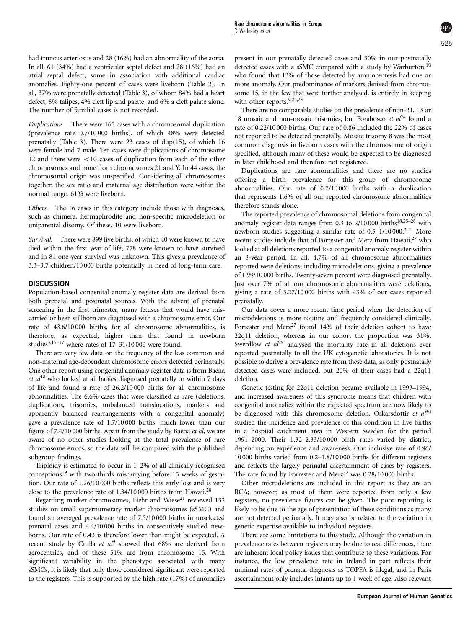had truncus arteriosus and 28 (16%) had an abnormality of the aorta. In all, 61 (34%) had a ventricular septal defect and 28 (16%) had an atrial septal defect, some in association with additional cardiac anomalies. Eighty-one percent of cases were liveborn ([Table 2\)](#page-3-0). In all, 37% were prenatally detected ([Table 3](#page-3-0)), of whom 84% had a heart defect, 8% talipes, 4% cleft lip and palate, and 6% a cleft palate alone. The number of familial cases is not recorded.

Duplications. There were 165 cases with a chromosomal duplication (prevalence rate 0.7/10 000 births), of which 48% were detected prenatally [\(Table 3](#page-3-0)). There were 23 cases of dup(15), of which 16 were female and 7 male. Ten cases were duplications of chromosome 12 and there were  $\langle 10 \rangle$  cases of duplication from each of the other chromosomes and none from chromosomes 21 and Y. In 44 cases, the chromosomal origin was unspecified. Considering all chromosomes together, the sex ratio and maternal age distribution were within the normal range. 61% were liveborn.

Others. The 16 cases in this category include those with diagnoses, such as chimera, hermaphrodite and non-specific microdeletion or uniparental disomy. Of these, 10 were liveborn.

Survival. There were 899 live births, of which 40 were known to have died within the first year of life, 778 were known to have survived and in 81 one-year survival was unknown. This gives a prevalence of 3.3–3.7 children/10 000 births potentially in need of long-term care.

## **DISCUSSION**

Population-based congenital anomaly register data are derived from both prenatal and postnatal sources. With the advent of prenatal screening in the first trimester, many fetuses that would have miscarried or been stillborn are diagnosed with a chromosome error. Our rate of 43.6/10 000 births, for all chromosome abnormalities, is therefore, as expected, higher than that found in newborn studies<sup>3,15–17</sup> where rates of  $17-31/10000$  were found.

There are very few data on the frequency of the less common and non-maternal age-dependent chromosome errors detected perinatally. One other report using congenital anomaly register data is from Baena  $et al<sup>18</sup>$  $et al<sup>18</sup>$  $et al<sup>18</sup>$  who looked at all babies diagnosed prenatally or within 7 days of life and found a rate of 26.2/10 000 births for all chromosome abnormalities. The 6.6% cases that were classified as rare (deletions, duplications, trisomies, unbalanced translocations, markers and apparently balanced rearrangements with a congenital anomaly) gave a prevalence rate of 1.7/10 000 births, much lower than our figure of 7.4/10 000 births. Apart from the study by Baena et al, we are aware of no other studies looking at the total prevalence of rare chromosome errors, so the data will be compared with the published subgroup findings.

Triploidy is estimated to occur in 1–2% of all clinically recognised conceptions<sup>19</sup> with two-thirds miscarrying before 15 weeks of gestation. Our rate of 1.26/10 000 births reflects this early loss and is very close to the prevalence rate of 1.34/10 000 births from Hawaii[.20](#page-5-0)

Regarding marker chromosomes, Liehr and Wiese<sup>21</sup> reviewed 132 studies on small supernumerary marker chromosomes (sSMC) and found an averaged prevalence rate of 7.5/10 000 births in unselected prenatal cases and 4.4/10 000 births in consecutively studied newborns. Our rate of 0.43 is therefore lower than might be expected. A recent study by Crolla et  $al^9$  $al^9$  showed that 68% are derived from acrocentrics, and of these 51% are from chromosome 15. With significant variability in the phenotype associated with many sSMCs, it is likely that only those considered significant were reported to the registers. This is supported by the high rate (17%) of anomalies

present in our prenatally detected cases and 30% in our postnatally detected cases with a sSMC compared with a study by Warburton,<sup>[10](#page-5-0)</sup> who found that 13% of those detected by amniocentesis had one or more anomaly. Our predominance of markers derived from chromosome 15, in the few that were further analysed, is entirely in keeping with other reports.<sup>[9,22,23](#page-5-0)</sup>

There are no comparable studies on the prevalence of non-21, 13 or 18 mosaic and non-mosaic trisomies, but Forabosco et  $al<sup>24</sup>$  $al<sup>24</sup>$  $al<sup>24</sup>$  found a rate of 0.22/10 000 births. Our rate of 0.86 included the 22% of cases not reported to be detected prenatally. Mosaic trisomy 8 was the most common diagnosis in liveborn cases with the chromosome of origin specified, although many of these would be expected to be diagnosed in later childhood and therefore not registered.

Duplications are rare abnormalities and there are no studies offering a birth prevalence for this group of chromosome abnormalities. Our rate of 0.7/10 000 births with a duplication that represents 1.6% of all our reported chromosome abnormalities therefore stands alone.

The reported prevalence of chromosomal deletions from congenital anomaly register data ranges from 0.3 to  $2/10000$  births<sup>18,25–28</sup> with newborn studies suggesting a similar rate of 0.5–1/10 000[.3,15](#page-5-0) More recent studies include that of Forrester and Merz from Hawaii,<sup>[27](#page-5-0)</sup> who looked at all deletions reported to a congenital anomaly register within an 8-year period. In all, 4.7% of all chromosome abnormalities reported were deletions, including microdeletions, giving a prevalence of 1.99/10 000 births. Twenty-seven percent were diagnosed prenatally. Just over 7% of all our chromosome abnormalities were deletions, giving a rate of 3.27/10 000 births with 43% of our cases reported prenatally.

Our data cover a more recent time period when the detection of microdeletions is more routine and frequently considered clinically. Forrester and Merz<sup>27</sup> found 14% of their deletion cohort to have 22q11 deletion, whereas in our cohort the proportion was 31%. Swerdlow et  $al^{29}$  $al^{29}$  $al^{29}$  analysed the mortality rate in all deletions ever reported postnatally to all the UK cytogenetic laboratories. It is not possible to derive a prevalence rate from these data, as only postnatally detected cases were included, but 20% of their cases had a 22q11 deletion.

Genetic testing for 22q11 deletion became available in 1993–1994, and increased awareness of this syndrome means that children with congenital anomalies within the expected spectrum are now likely to be diagnosed with this chromosome deletion. Oskarsdottir et  $al^{30}$  $al^{30}$  $al^{30}$ studied the incidence and prevalence of this condition in live births in a hospital catchment area in Western Sweden for the period 1991–2000. Their 1.32–2.33/10 000 birth rates varied by district, depending on experience and awareness. Our inclusive rate of 0.96/ 10 000 births varied from 0.2–1.8/10 000 births for different registers and reflects the largely perinatal ascertainment of cases by registers. The rate found by Forrester and Merz<sup>27</sup> was 0.28/10 000 births.

Other microdeletions are included in this report as they are an RCA; however, as most of them were reported from only a few registers, no prevalence figures can be given. The poor reporting is likely to be due to the age of presentation of these conditions as many are not detected perinatally. It may also be related to the variation in genetic expertise available to individual registers.

There are some limitations to this study. Although the variation in prevalence rates between registers may be due to real differences, there are inherent local policy issues that contribute to these variations. For instance, the low prevalence rate in Ireland in part reflects their minimal rates of prenatal diagnosis as TOPFA is illegal, and in Paris ascertainment only includes infants up to 1 week of age. Also relevant